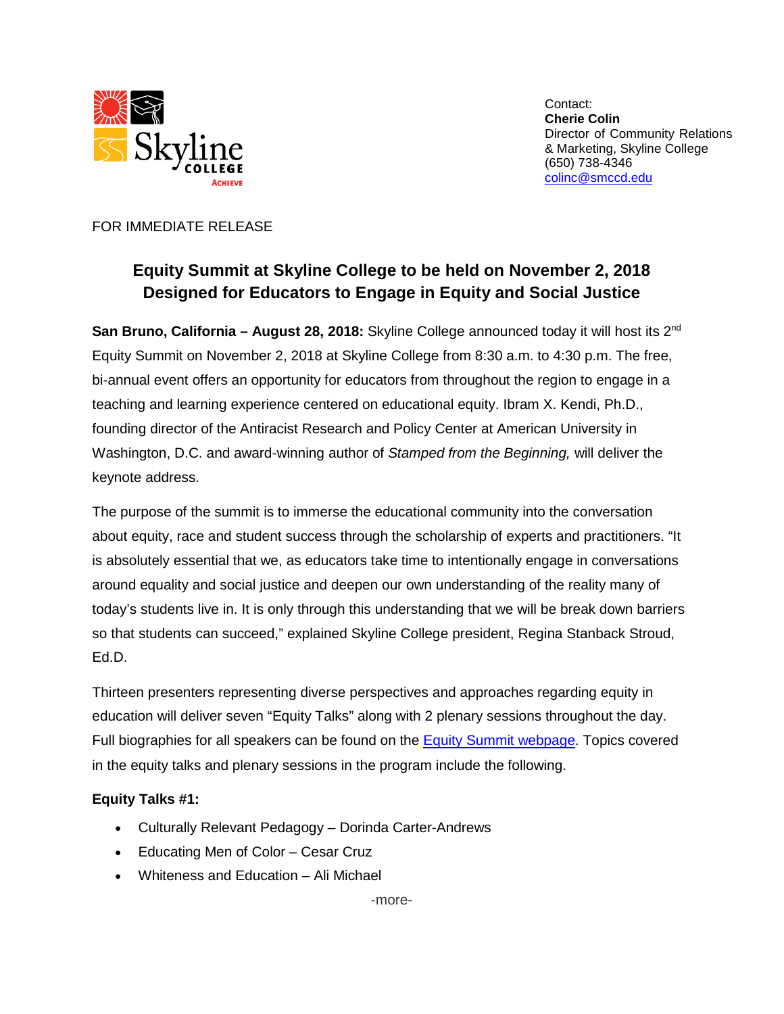

Contact: **Cherie Colin** Director of Community Relations & Marketing, Skyline College (650) 738-4346 [colinc@smccd.edu](mailto:colinc@smccd.edu)

#### FOR IMMEDIATE RELEASE

# **Equity Summit at Skyline College to be held on November 2, 2018 Designed for Educators to Engage in Equity and Social Justice**

**San Bruno, California – August 28, 2018:** Skyline College announced today it will host its 2nd Equity Summit on November 2, 2018 at Skyline College from 8:30 a.m. to 4:30 p.m. The free, bi-annual event offers an opportunity for educators from throughout the region to engage in a teaching and learning experience centered on educational equity. Ibram X. Kendi, Ph.D., founding director of the Antiracist Research and Policy Center at American University in Washington, D.C. and award-winning author of *Stamped from the Beginning,* will deliver the keynote address.

The purpose of the summit is to immerse the educational community into the conversation about equity, race and student success through the scholarship of experts and practitioners. "It is absolutely essential that we, as educators take time to intentionally engage in conversations around equality and social justice and deepen our own understanding of the reality many of today's students live in. It is only through this understanding that we will be break down barriers so that students can succeed," explained Skyline College president, Regina Stanback Stroud, Ed.D.

Thirteen presenters representing diverse perspectives and approaches regarding equity in education will deliver seven "Equity Talks" along with 2 plenary sessions throughout the day. Full biographies for all speakers can be found on the [Equity Summit webpage.](http://skylinecollege.edu/studentequitydivision/summit.php) Topics covered in the equity talks and plenary sessions in the program include the following.

### **Equity Talks #1:**

- Culturally Relevant Pedagogy Dorinda Carter-Andrews
- Educating Men of Color Cesar Cruz
- Whiteness and Education Ali Michael

-more-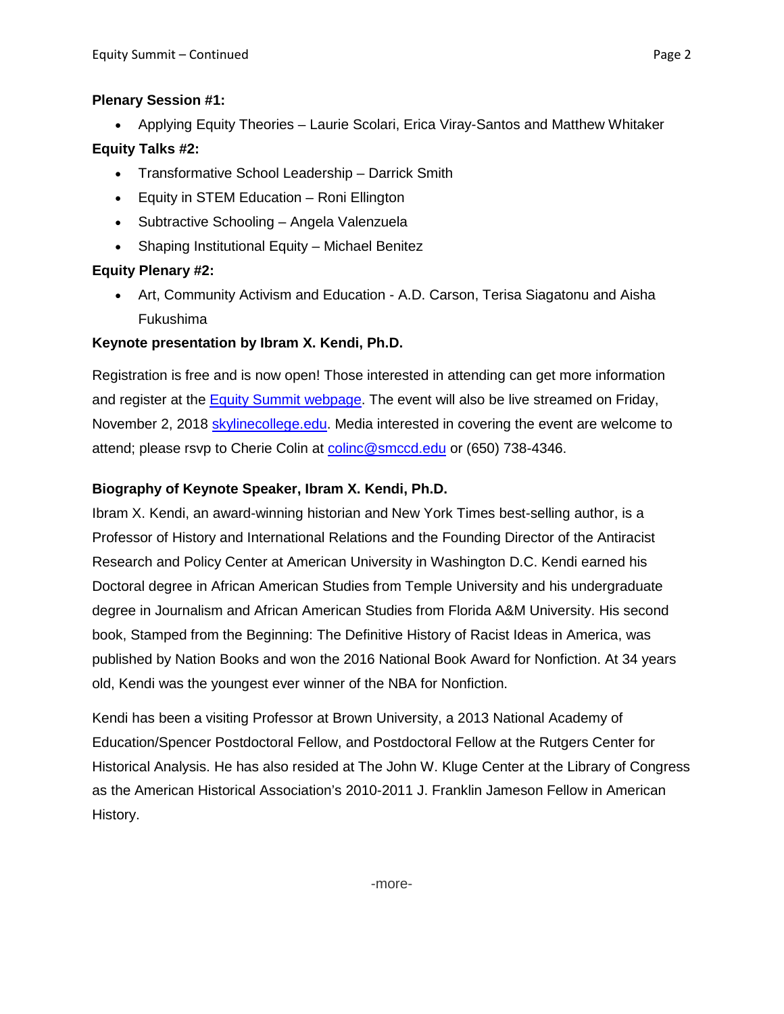#### **Plenary Session #1:**

• Applying Equity Theories – Laurie Scolari, Erica Viray-Santos and Matthew Whitaker

## **Equity Talks #2:**

- Transformative School Leadership Darrick Smith
- Equity in STEM Education Roni Ellington
- Subtractive Schooling Angela Valenzuela
- Shaping Institutional Equity Michael Benitez

# **Equity Plenary #2:**

• Art, Community Activism and Education - A.D. Carson, Terisa Siagatonu and Aisha Fukushima

### **Keynote presentation by Ibram X. Kendi, Ph.D.**

Registration is free and is now open! Those interested in attending can get more information and register at the [Equity Summit webpage.](http://skylinecollege.edu/studentequitydivision/summit.php) The event will also be live streamed on Friday, November 2, 2018 [skylinecollege.edu.](http://skylinecollege.edu/) Media interested in covering the event are welcome to attend; please rsvp to Cherie Colin at [colinc@smccd.edu](mailto:colinc@smccd.edu) or (650) 738-4346.

# **Biography of Keynote Speaker, Ibram X. Kendi, Ph.D.**

Ibram X. Kendi, an award-winning historian and New York Times best-selling author, is a Professor of History and International Relations and the Founding Director of the Antiracist Research and Policy Center at American University in Washington D.C. Kendi earned his Doctoral degree in African American Studies from Temple University and his undergraduate degree in Journalism and African American Studies from Florida A&M University. His second book, Stamped from the Beginning: The Definitive History of Racist Ideas in America, was published by Nation Books and won the 2016 National Book Award for Nonfiction. At 34 years old, Kendi was the youngest ever winner of the NBA for Nonfiction.

Kendi has been a visiting Professor at Brown University, a 2013 National Academy of Education/Spencer Postdoctoral Fellow, and Postdoctoral Fellow at the Rutgers Center for Historical Analysis. He has also resided at The John W. Kluge Center at the Library of Congress as the American Historical Association's 2010-2011 J. Franklin Jameson Fellow in American History.